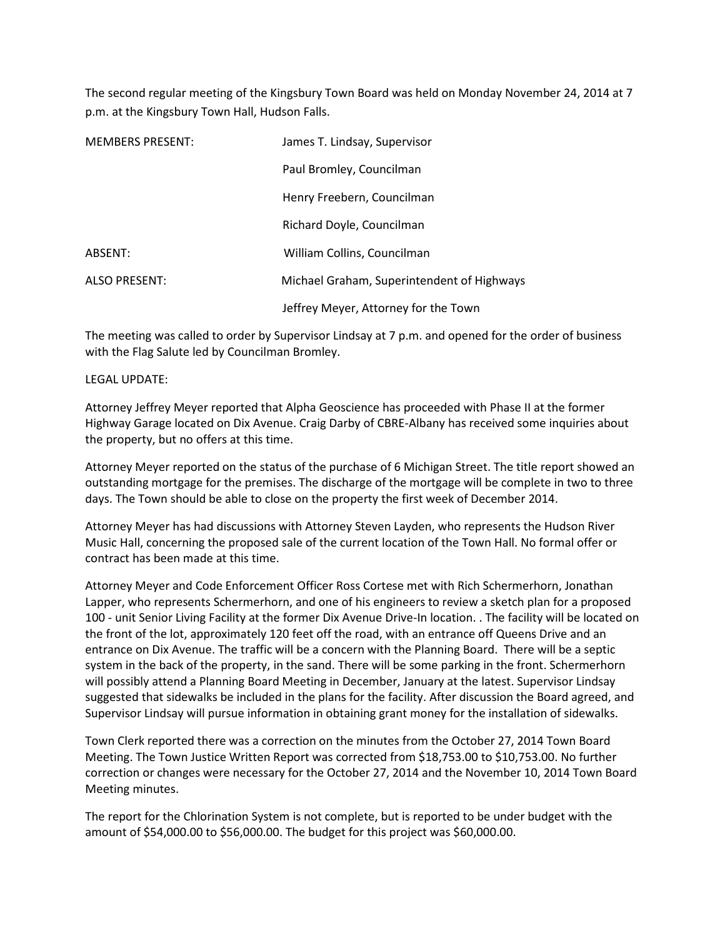The second regular meeting of the Kingsbury Town Board was held on Monday November 24, 2014 at 7 p.m. at the Kingsbury Town Hall, Hudson Falls.

| <b>MEMBERS PRESENT:</b> | James T. Lindsay, Supervisor               |  |
|-------------------------|--------------------------------------------|--|
|                         | Paul Bromley, Councilman                   |  |
|                         | Henry Freebern, Councilman                 |  |
|                         | Richard Doyle, Councilman                  |  |
| ABSENT:                 | William Collins, Councilman                |  |
| <b>ALSO PRESENT:</b>    | Michael Graham, Superintendent of Highways |  |
|                         | Jeffrey Meyer, Attorney for the Town       |  |

The meeting was called to order by Supervisor Lindsay at 7 p.m. and opened for the order of business with the Flag Salute led by Councilman Bromley.

## LEGAL UPDATE:

Attorney Jeffrey Meyer reported that Alpha Geoscience has proceeded with Phase II at the former Highway Garage located on Dix Avenue. Craig Darby of CBRE-Albany has received some inquiries about the property, but no offers at this time.

Attorney Meyer reported on the status of the purchase of 6 Michigan Street. The title report showed an outstanding mortgage for the premises. The discharge of the mortgage will be complete in two to three days. The Town should be able to close on the property the first week of December 2014.

Attorney Meyer has had discussions with Attorney Steven Layden, who represents the Hudson River Music Hall, concerning the proposed sale of the current location of the Town Hall. No formal offer or contract has been made at this time.

Attorney Meyer and Code Enforcement Officer Ross Cortese met with Rich Schermerhorn, Jonathan Lapper, who represents Schermerhorn, and one of his engineers to review a sketch plan for a proposed 100 - unit Senior Living Facility at the former Dix Avenue Drive-In location. . The facility will be located on the front of the lot, approximately 120 feet off the road, with an entrance off Queens Drive and an entrance on Dix Avenue. The traffic will be a concern with the Planning Board. There will be a septic system in the back of the property, in the sand. There will be some parking in the front. Schermerhorn will possibly attend a Planning Board Meeting in December, January at the latest. Supervisor Lindsay suggested that sidewalks be included in the plans for the facility. After discussion the Board agreed, and Supervisor Lindsay will pursue information in obtaining grant money for the installation of sidewalks.

Town Clerk reported there was a correction on the minutes from the October 27, 2014 Town Board Meeting. The Town Justice Written Report was corrected from \$18,753.00 to \$10,753.00. No further correction or changes were necessary for the October 27, 2014 and the November 10, 2014 Town Board Meeting minutes.

The report for the Chlorination System is not complete, but is reported to be under budget with the amount of \$54,000.00 to \$56,000.00. The budget for this project was \$60,000.00.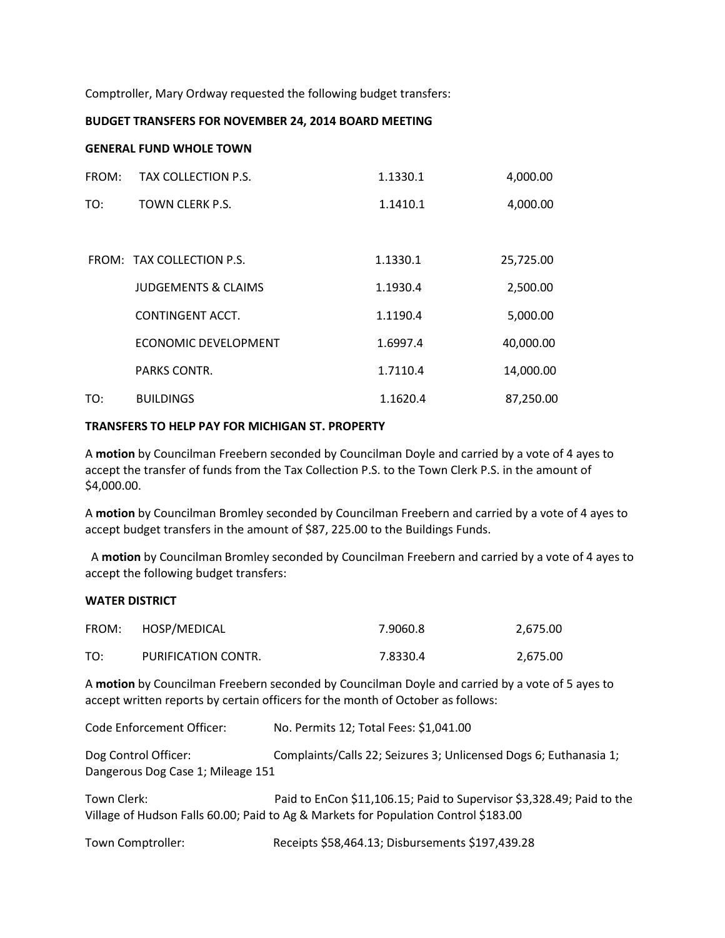Comptroller, Mary Ordway requested the following budget transfers:

### **BUDGET TRANSFERS FOR NOVEMBER 24, 2014 BOARD MEETING**

### **GENERAL FUND WHOLE TOWN**

| FROM: | TAX COLLECTION P.S.            | 1.1330.1 | 4,000.00  |
|-------|--------------------------------|----------|-----------|
| TO:   | <b>TOWN CLERK P.S.</b>         | 1.1410.1 | 4,000.00  |
|       |                                |          |           |
|       | FROM: TAX COLLECTION P.S.      | 1.1330.1 | 25,725.00 |
|       | <b>JUDGEMENTS &amp; CLAIMS</b> | 1.1930.4 | 2,500.00  |
|       | CONTINGENT ACCT.               | 1.1190.4 | 5,000.00  |
|       | <b>ECONOMIC DEVELOPMENT</b>    | 1.6997.4 | 40,000.00 |
|       | PARKS CONTR.                   | 1.7110.4 | 14,000.00 |
| TO:   | <b>BUILDINGS</b>               | 1.1620.4 | 87,250.00 |

## **TRANSFERS TO HELP PAY FOR MICHIGAN ST. PROPERTY**

A **motion** by Councilman Freebern seconded by Councilman Doyle and carried by a vote of 4 ayes to accept the transfer of funds from the Tax Collection P.S. to the Town Clerk P.S. in the amount of \$4,000.00.

A **motion** by Councilman Bromley seconded by Councilman Freebern and carried by a vote of 4 ayes to accept budget transfers in the amount of \$87, 225.00 to the Buildings Funds.

 A **motion** by Councilman Bromley seconded by Councilman Freebern and carried by a vote of 4 ayes to accept the following budget transfers:

#### **WATER DISTRICT**

| FROM: | HOSP/MEDICAL        | 7.9060.8 | 2,675.00 |
|-------|---------------------|----------|----------|
| TO:   | PURIFICATION CONTR. | 7.8330.4 | 2,675.00 |

A **motion** by Councilman Freebern seconded by Councilman Doyle and carried by a vote of 5 ayes to accept written reports by certain officers for the month of October as follows:

Code Enforcement Officer: No. Permits 12; Total Fees: \$1,041.00

Dog Control Officer: Complaints/Calls 22; Seizures 3; Unlicensed Dogs 6; Euthanasia 1; Dangerous Dog Case 1; Mileage 151

Town Clerk: Paid to EnCon \$11,106.15; Paid to Supervisor \$3,328.49; Paid to the Village of Hudson Falls 60.00; Paid to Ag & Markets for Population Control \$183.00

Town Comptroller: Receipts \$58,464.13; Disbursements \$197,439.28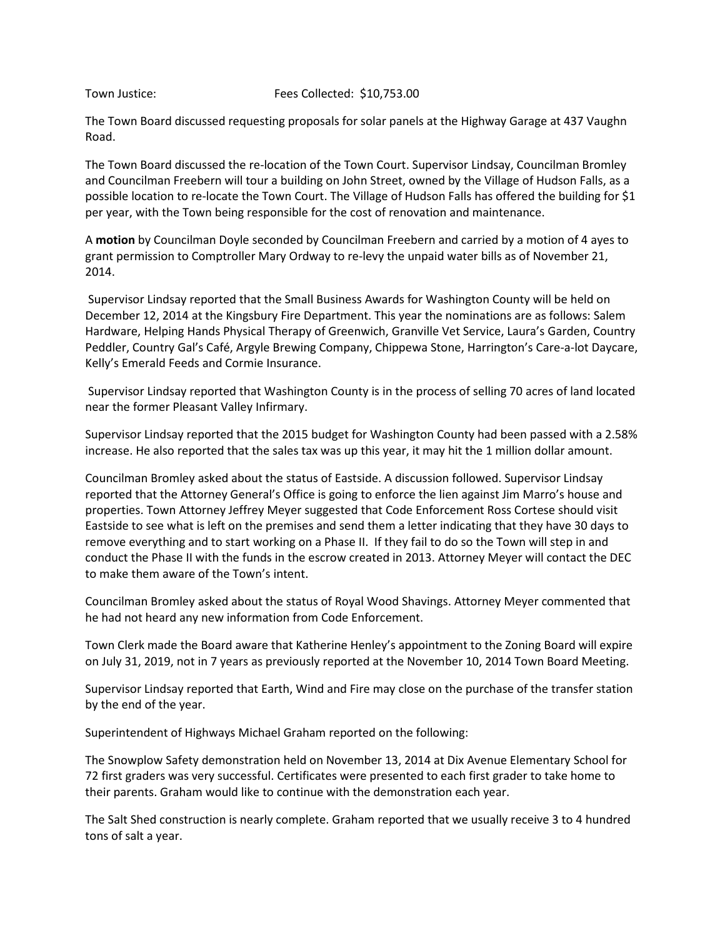# Town Justice: Fees Collected: \$10,753.00

The Town Board discussed requesting proposals for solar panels at the Highway Garage at 437 Vaughn Road.

The Town Board discussed the re-location of the Town Court. Supervisor Lindsay, Councilman Bromley and Councilman Freebern will tour a building on John Street, owned by the Village of Hudson Falls, as a possible location to re-locate the Town Court. The Village of Hudson Falls has offered the building for \$1 per year, with the Town being responsible for the cost of renovation and maintenance.

A **motion** by Councilman Doyle seconded by Councilman Freebern and carried by a motion of 4 ayes to grant permission to Comptroller Mary Ordway to re-levy the unpaid water bills as of November 21, 2014.

 Supervisor Lindsay reported that the Small Business Awards for Washington County will be held on December 12, 2014 at the Kingsbury Fire Department. This year the nominations are as follows: Salem Hardware, Helping Hands Physical Therapy of Greenwich, Granville Vet Service, Laura's Garden, Country Peddler, Country Gal's Café, Argyle Brewing Company, Chippewa Stone, Harrington's Care-a-lot Daycare, Kelly's Emerald Feeds and Cormie Insurance.

 Supervisor Lindsay reported that Washington County is in the process of selling 70 acres of land located near the former Pleasant Valley Infirmary.

Supervisor Lindsay reported that the 2015 budget for Washington County had been passed with a 2.58% increase. He also reported that the sales tax was up this year, it may hit the 1 million dollar amount.

Councilman Bromley asked about the status of Eastside. A discussion followed. Supervisor Lindsay reported that the Attorney General's Office is going to enforce the lien against Jim Marro's house and properties. Town Attorney Jeffrey Meyer suggested that Code Enforcement Ross Cortese should visit Eastside to see what is left on the premises and send them a letter indicating that they have 30 days to remove everything and to start working on a Phase II. If they fail to do so the Town will step in and conduct the Phase II with the funds in the escrow created in 2013. Attorney Meyer will contact the DEC to make them aware of the Town's intent.

Councilman Bromley asked about the status of Royal Wood Shavings. Attorney Meyer commented that he had not heard any new information from Code Enforcement.

Town Clerk made the Board aware that Katherine Henley's appointment to the Zoning Board will expire on July 31, 2019, not in 7 years as previously reported at the November 10, 2014 Town Board Meeting.

Supervisor Lindsay reported that Earth, Wind and Fire may close on the purchase of the transfer station by the end of the year.

Superintendent of Highways Michael Graham reported on the following:

The Snowplow Safety demonstration held on November 13, 2014 at Dix Avenue Elementary School for 72 first graders was very successful. Certificates were presented to each first grader to take home to their parents. Graham would like to continue with the demonstration each year.

The Salt Shed construction is nearly complete. Graham reported that we usually receive 3 to 4 hundred tons of salt a year.